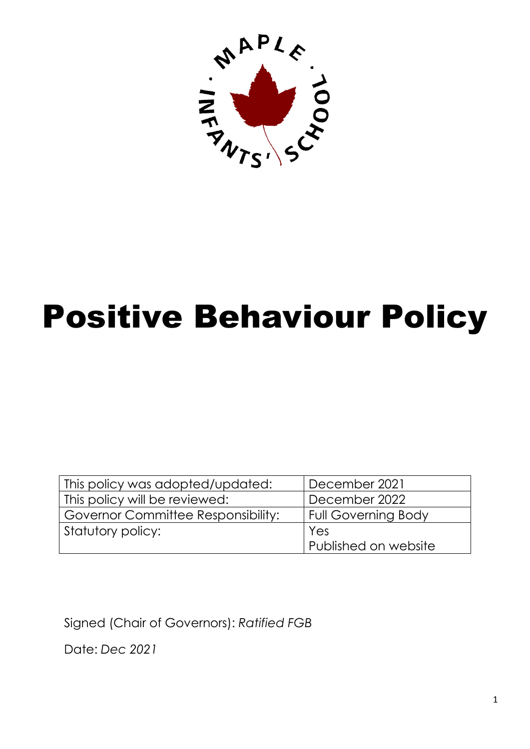

# Positive Behaviour Policy

| This policy was adopted/updated:   | December 2021              |
|------------------------------------|----------------------------|
| This policy will be reviewed:      | December 2022              |
| Governor Committee Responsibility: | <b>Full Governing Body</b> |
| Statutory policy:                  | Yes                        |
|                                    | Published on website       |

Signed (Chair of Governors): *Ratified FGB*

Date: *Dec 2021*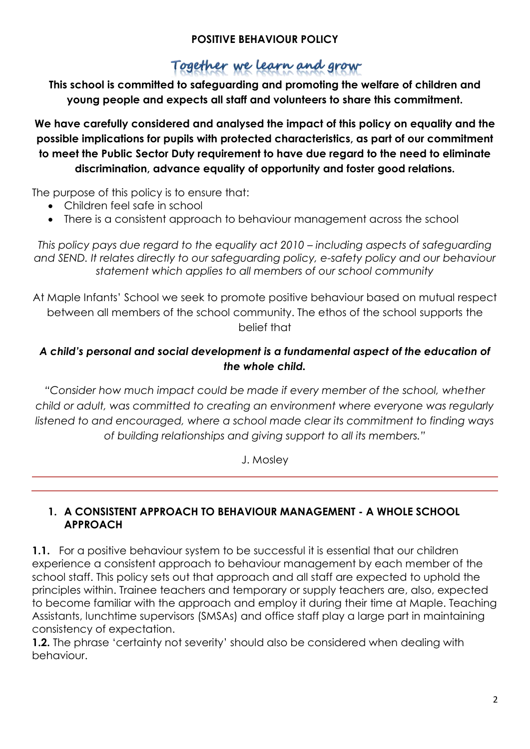## **POSITIVE BEHAVIOUR POLICY**

## Together we learn and grow

**This school is committed to safeguarding and promoting the welfare of children and young people and expects all staff and volunteers to share this commitment.**

**We have carefully considered and analysed the impact of this policy on equality and the possible implications for pupils with protected characteristics, as part of our commitment to meet the Public Sector Duty requirement to have due regard to the need to eliminate discrimination, advance equality of opportunity and foster good relations.** 

The purpose of this policy is to ensure that:

- Children feel safe in school
- There is a consistent approach to behaviour management across the school

*This policy pays due regard to the equality act 2010 – including aspects of safeguarding and SEND. It relates directly to our safeguarding policy, e-safety policy and our behaviour statement which applies to all members of our school community* 

At Maple Infants' School we seek to promote positive behaviour based on mutual respect between all members of the school community. The ethos of the school supports the belief that

## *A child's personal and social development is a fundamental aspect of the education of the whole child.*

*"Consider how much impact could be made if every member of the school, whether child or adult, was committed to creating an environment where everyone was regularly listened to and encouraged, where a school made clear its commitment to finding ways of building relationships and giving support to all its members."*

J. Mosley

## **1. A CONSISTENT APPROACH TO BEHAVIOUR MANAGEMENT - A WHOLE SCHOOL APPROACH**

**1.1.** For a positive behaviour system to be successful it is essential that our children experience a consistent approach to behaviour management by each member of the school staff. This policy sets out that approach and all staff are expected to uphold the principles within. Trainee teachers and temporary or supply teachers are, also, expected to become familiar with the approach and employ it during their time at Maple. Teaching Assistants, lunchtime supervisors (SMSAs) and office staff play a large part in maintaining consistency of expectation.

**1.2.** The phrase 'certainty not severity' should also be considered when dealing with behaviour.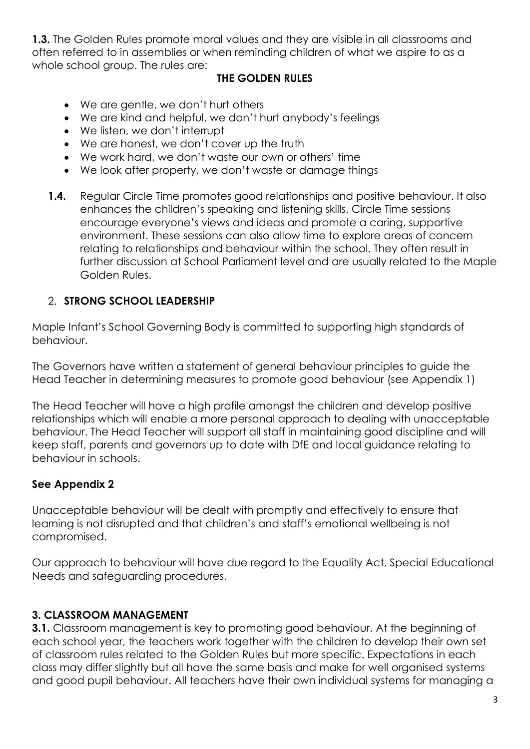**1.3.** The Golden Rules promote moral values and they are visible in all classrooms and often referred to in assemblies or when reminding children of what we aspire to as a whole school group. The rules are:

## **THE GOLDEN RULES**

- We are gentle, we don't hurt others
- We are kind and helpful, we don't hurt anybody's feelings
- We listen, we don't interrupt
- We are honest, we don't cover up the truth
- We work hard, we don't waste our own or others' time
- We look after property, we don't waste or damage things
- **1.4.** Regular Circle Time promotes good relationships and positive behaviour. It also enhances the children's speaking and listening skills. Circle Time sessions encourage everyone's views and ideas and promote a caring, supportive environment. These sessions can also allow time to explore areas of concern relating to relationships and behaviour within the school. They often result in further discussion at School Parliament level and are usually related to the Maple Golden Rules.

## 2. **STRONG SCHOOL LEADERSHIP**

Maple Infant's School Governing Body is committed to supporting high standards of behaviour.

The Governors have written a statement of general behaviour principles to guide the Head Teacher in determining measures to promote good behaviour (see Appendix 1)

The Head Teacher will have a high profile amongst the children and develop positive relationships which will enable a more personal approach to dealing with unacceptable behaviour. The Head Teacher will support all staff in maintaining good discipline and will keep staff, parents and governors up to date with DfE and local guidance relating to behaviour in schools.

## **See Appendix 2**

Unacceptable behaviour will be dealt with promptly and effectively to ensure that learning is not disrupted and that children's and staff's emotional wellbeing is not compromised.

Our approach to behaviour will have due regard to the Equality Act, Special Educational Needs and safeguarding procedures.

## **3. CLASSROOM MANAGEMENT**

**3.1.** Classroom management is key to promoting good behaviour. At the beginning of each school year, the teachers work together with the children to develop their own set of classroom rules related to the Golden Rules but more specific. Expectations in each class may differ slightly but all have the same basis and make for well organised systems and good pupil behaviour. All teachers have their own individual systems for managing a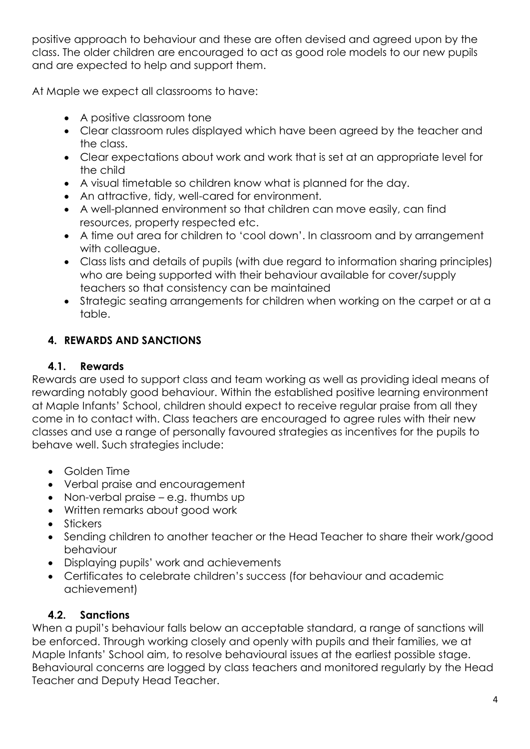positive approach to behaviour and these are often devised and agreed upon by the class. The older children are encouraged to act as good role models to our new pupils and are expected to help and support them.

At Maple we expect all classrooms to have:

- A positive classroom tone
- Clear classroom rules displayed which have been agreed by the teacher and the class.
- Clear expectations about work and work that is set at an appropriate level for the child
- A visual timetable so children know what is planned for the day.
- An attractive, tidy, well-cared for environment.
- A well-planned environment so that children can move easily, can find resources, property respected etc.
- A time out area for children to 'cool down'. In classroom and by arrangement with collegaue.
- Class lists and details of pupils (with due regard to information sharing principles) who are being supported with their behaviour available for cover/supply teachers so that consistency can be maintained
- Strategic seating arrangements for children when working on the carpet or at a table.

## **4. REWARDS AND SANCTIONS**

## **4.1. Rewards**

Rewards are used to support class and team working as well as providing ideal means of rewarding notably good behaviour. Within the established positive learning environment at Maple Infants' School, children should expect to receive regular praise from all they come in to contact with. Class teachers are encouraged to agree rules with their new classes and use a range of personally favoured strategies as incentives for the pupils to behave well. Such strategies include:

- Golden Time
- Verbal praise and encouragement
- Non-verbal praise e.g. thumbs up
- Written remarks about good work
- Stickers
- Sending children to another teacher or the Head Teacher to share their work/good behaviour
- Displaying pupils' work and achievements
- Certificates to celebrate children's success (for behaviour and academic achievement)

## **4.2. Sanctions**

When a pupil's behaviour falls below an acceptable standard, a range of sanctions will be enforced. Through working closely and openly with pupils and their families, we at Maple Infants' School aim, to resolve behavioural issues at the earliest possible stage. Behavioural concerns are logged by class teachers and monitored regularly by the Head Teacher and Deputy Head Teacher.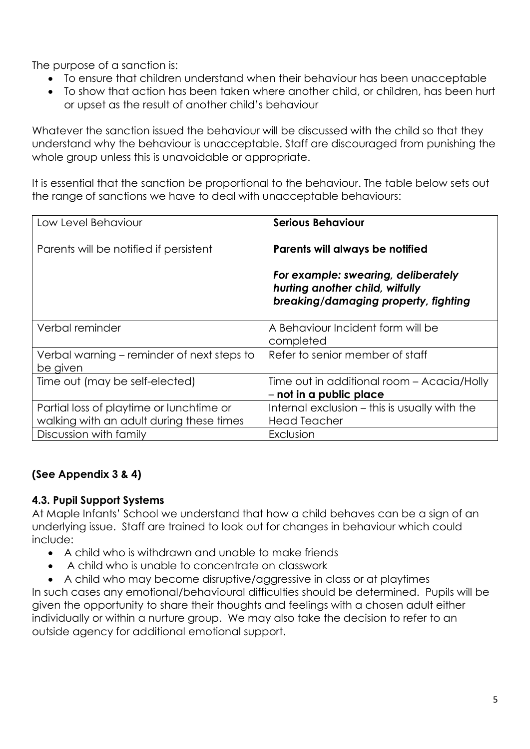The purpose of a sanction is:

- To ensure that children understand when their behaviour has been unacceptable
- To show that action has been taken where another child, or children, has been hurt or upset as the result of another child's behaviour

Whatever the sanction issued the behaviour will be discussed with the child so that they understand why the behaviour is unacceptable. Staff are discouraged from punishing the whole group unless this is unavoidable or appropriate.

It is essential that the sanction be proportional to the behaviour. The table below sets out the range of sanctions we have to deal with unacceptable behaviours:

| Low Level Behaviour                                                                  | <b>Serious Behaviour</b>                                                                                       |
|--------------------------------------------------------------------------------------|----------------------------------------------------------------------------------------------------------------|
| Parents will be notified if persistent                                               | Parents will always be notified                                                                                |
|                                                                                      | For example: swearing, deliberately<br>hurting another child, wilfully<br>breaking/damaging property, fighting |
| Verbal reminder                                                                      | A Behaviour Incident form will be<br>completed                                                                 |
| Verbal warning – reminder of next steps to<br>be given                               | Refer to senior member of staff                                                                                |
| Time out (may be self-elected)                                                       | Time out in additional room - Acacia/Holly<br>- not in a public place                                          |
| Partial loss of playtime or lunchtime or<br>walking with an adult during these times | Internal exclusion – this is usually with the<br><b>Head Teacher</b>                                           |
| Discussion with family                                                               | Exclusion                                                                                                      |

## **(See Appendix 3 & 4)**

## **4.3. Pupil Support Systems**

At Maple Infants' School we understand that how a child behaves can be a sign of an underlying issue. Staff are trained to look out for changes in behaviour which could include:

- A child who is withdrawn and unable to make friends
- A child who is unable to concentrate on classwork
- A child who may become disruptive/aggressive in class or at playtimes

In such cases any emotional/behavioural difficulties should be determined. Pupils will be given the opportunity to share their thoughts and feelings with a chosen adult either individually or within a nurture group. We may also take the decision to refer to an outside agency for additional emotional support.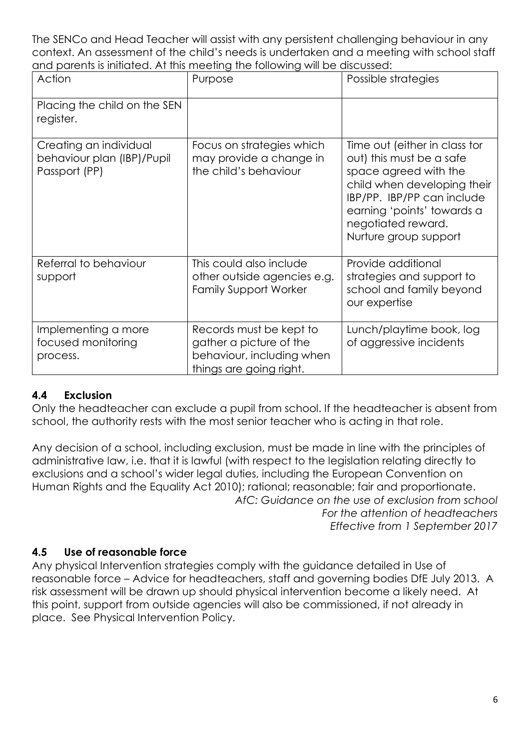The SENCo and Head Teacher will assist with any persistent challenging behaviour in any context. An assessment of the child's needs is undertaken and a meeting with school staff and parents is initiated. At this meeting the following will be discussed:

| Action                                                                | Purpose                                                                                                    | Possible strategies                                                                                                                                                                                                          |
|-----------------------------------------------------------------------|------------------------------------------------------------------------------------------------------------|------------------------------------------------------------------------------------------------------------------------------------------------------------------------------------------------------------------------------|
| Placing the child on the SEN<br>register.                             |                                                                                                            |                                                                                                                                                                                                                              |
| Creating an individual<br>behaviour plan (IBP)/Pupil<br>Passport (PP) | Focus on strategies which<br>may provide a change in<br>the child's behaviour                              | Time out (either in class tor<br>out) this must be a safe<br>space agreed with the<br>child when developing their<br>IBP/PP. IBP/PP can include<br>earning 'points' towards a<br>negotiated reward.<br>Nurture group support |
| Referral to behaviour<br>support                                      | This could also include<br>other outside agencies e.g.<br><b>Family Support Worker</b>                     | Provide additional<br>strategies and support to<br>school and family beyond<br>our expertise                                                                                                                                 |
| Implementing a more<br>focused monitoring<br>process.                 | Records must be kept to<br>gather a picture of the<br>behaviour, including when<br>things are going right. | Lunch/playtime book, log<br>of aggressive incidents                                                                                                                                                                          |

## **4.4 Exclusion**

Only the headteacher can exclude a pupil from school. If the headteacher is absent from school, the authority rests with the most senior teacher who is acting in that role.

Any decision of a school, including exclusion, must be made in line with the principles of administrative law, i.e. that it is lawful (with respect to the legislation relating directly to exclusions and a school's wider legal duties, including the European Convention on Human Rights and the Equality Act 2010); rational; reasonable; fair and proportionate. *AfC: Guidance on the use of exclusion from school For the attention of headteachers Effective from 1 September 2017*

## **4.5 Use of reasonable force**

Any physical Intervention strategies comply with the guidance detailed in Use of reasonable force – Advice for headteachers, staff and governing bodies DfE July 2013. A risk assessment will be drawn up should physical intervention become a likely need. At this point, support from outside agencies will also be commissioned, if not already in place. See Physical Intervention Policy.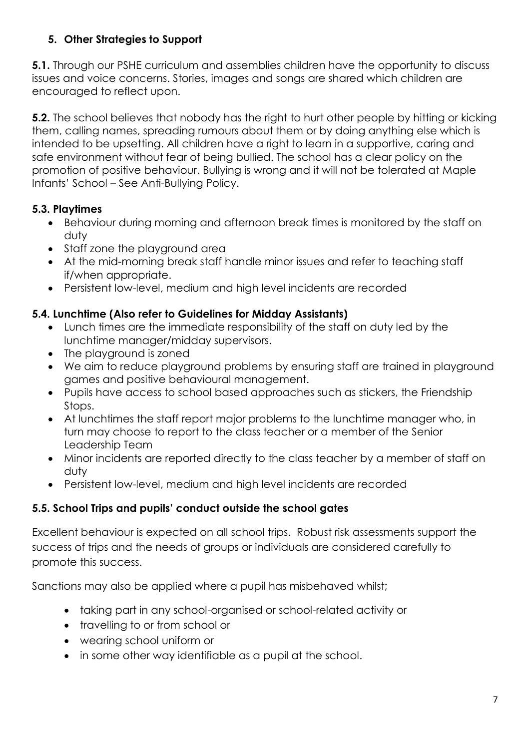## **5. Other Strategies to Support**

**5.1.** Through our PSHE curriculum and assemblies children have the opportunity to discuss issues and voice concerns. Stories, images and songs are shared which children are encouraged to reflect upon.

**5.2.** The school believes that nobody has the right to hurt other people by hitting or kicking them, calling names, spreading rumours about them or by doing anything else which is intended to be upsetting. All children have a right to learn in a supportive, caring and safe environment without fear of being bullied. The school has a clear policy on the promotion of positive behaviour. Bullying is wrong and it will not be tolerated at Maple Infants' School – See Anti-Bullying Policy.

## **5.3. Playtimes**

- Behaviour during morning and afternoon break times is monitored by the staff on duty
- Staff zone the playaround area
- At the mid-morning break staff handle minor issues and refer to teaching staff if/when appropriate.
- Persistent low-level, medium and high level incidents are recorded

## **5.4. Lunchtime (Also refer to Guidelines for Midday Assistants)**

- Lunch times are the immediate responsibility of the staff on duty led by the lunchtime manager/midday supervisors.
- The playground is zoned
- We aim to reduce playground problems by ensuring staff are trained in playground games and positive behavioural management.
- Pupils have access to school based approaches such as stickers, the Friendship Stops.
- At lunchtimes the staff report major problems to the lunchtime manager who, in turn may choose to report to the class teacher or a member of the Senior Leadership Team
- Minor incidents are reported directly to the class teacher by a member of staff on duty
- Persistent low-level, medium and high level incidents are recorded

## **5.5. School Trips and pupils' conduct outside the school gates**

Excellent behaviour is expected on all school trips. Robust risk assessments support the success of trips and the needs of groups or individuals are considered carefully to promote this success.

Sanctions may also be applied where a pupil has misbehaved whilst;

- taking part in any school-organised or school-related activity or
- travelling to or from school or
- wearing school uniform or
- in some other way identifiable as a pupil at the school.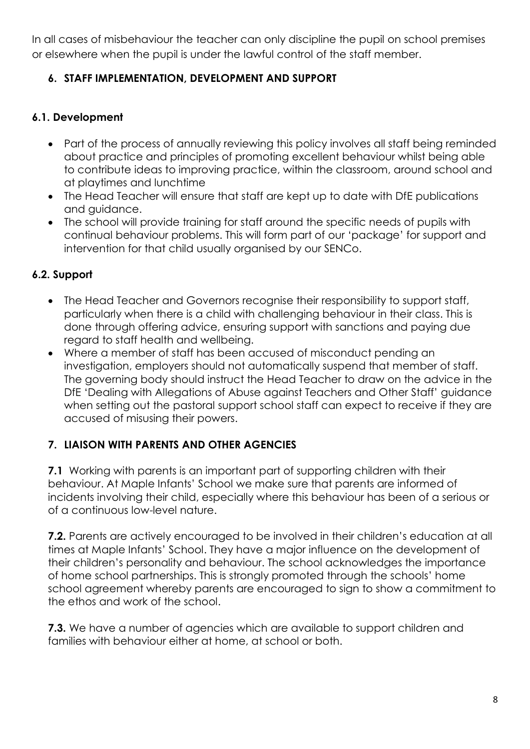In all cases of misbehaviour the teacher can only discipline the pupil on school premises or elsewhere when the pupil is under the lawful control of the staff member.

## **6. STAFF IMPLEMENTATION, DEVELOPMENT AND SUPPORT**

## **6.1. Development**

- Part of the process of annually reviewing this policy involves all staff being reminded about practice and principles of promoting excellent behaviour whilst being able to contribute ideas to improving practice, within the classroom, around school and at playtimes and lunchtime
- The Head Teacher will ensure that staff are kept up to date with DfE publications and guidance.
- The school will provide training for staff around the specific needs of pupils with continual behaviour problems. This will form part of our 'package' for support and intervention for that child usually organised by our SENCo.

## **6.2. Support**

- The Head Teacher and Governors recognise their responsibility to support staff, particularly when there is a child with challenging behaviour in their class. This is done through offering advice, ensuring support with sanctions and paying due regard to staff health and wellbeing.
- Where a member of staff has been accused of misconduct pending an investigation, employers should not automatically suspend that member of staff. The governing body should instruct the Head Teacher to draw on the advice in the DfE 'Dealing with Allegations of Abuse against Teachers and Other Staff' guidance when setting out the pastoral support school staff can expect to receive if they are accused of misusing their powers.

## **7. LIAISON WITH PARENTS AND OTHER AGENCIES**

**7.1** Working with parents is an important part of supporting children with their behaviour. At Maple Infants' School we make sure that parents are informed of incidents involving their child, especially where this behaviour has been of a serious or of a continuous low-level nature.

**7.2.** Parents are actively encouraged to be involved in their children's education at all times at Maple Infants' School. They have a major influence on the development of their children's personality and behaviour. The school acknowledges the importance of home school partnerships. This is strongly promoted through the schools' home school agreement whereby parents are encouraged to sign to show a commitment to the ethos and work of the school.

**7.3.** We have a number of agencies which are available to support children and families with behaviour either at home, at school or both.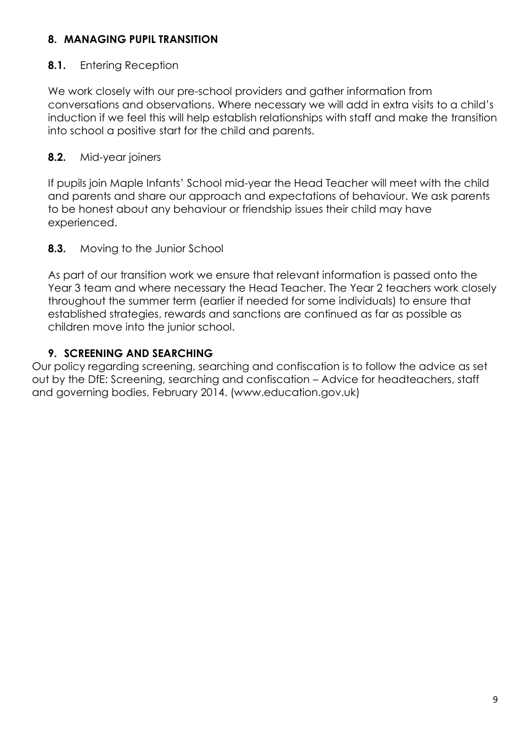## **8. MANAGING PUPIL TRANSITION**

#### **8.1.** Entering Reception

We work closely with our pre-school providers and gather information from conversations and observations. Where necessary we will add in extra visits to a child's induction if we feel this will help establish relationships with staff and make the transition into school a positive start for the child and parents.

#### **8.2.** Mid-year joiners

If pupils join Maple Infants' School mid-year the Head Teacher will meet with the child and parents and share our approach and expectations of behaviour. We ask parents to be honest about any behaviour or friendship issues their child may have experienced.

#### **8.3.** Moving to the Junior School

As part of our transition work we ensure that relevant information is passed onto the Year 3 team and where necessary the Head Teacher. The Year 2 teachers work closely throughout the summer term (earlier if needed for some individuals) to ensure that established strategies, rewards and sanctions are continued as far as possible as children move into the junior school.

## **9. SCREENING AND SEARCHING**

Our policy regarding screening, searching and confiscation is to follow the advice as set out by the DfE: Screening, searching and confiscation – Advice for headteachers, staff and governing bodies, February 2014. (www.education.gov.uk)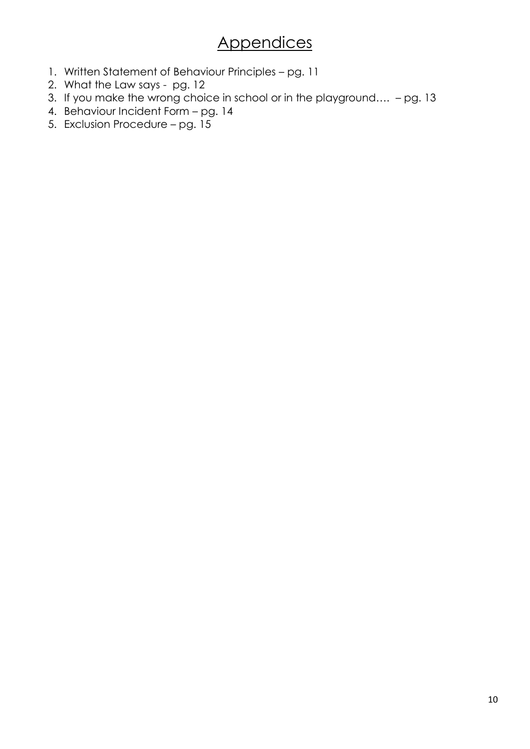# **Appendices**

- 1. Written Statement of Behaviour Principles pg. 11
- 2. What the Law says pg. 12
- 3. If you make the wrong choice in school or in the playground…. pg. 13
- 4. Behaviour Incident Form pg. 14
- 5. Exclusion Procedure pg. 15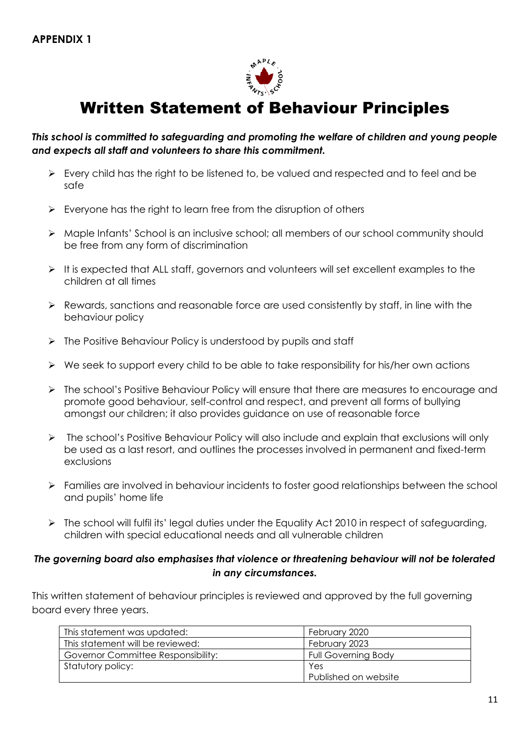

# Written Statement of Behaviour Principles

#### *This school is committed to safeguarding and promoting the welfare of children and young people and expects all staff and volunteers to share this commitment.*

- $\triangleright$  Every child has the right to be listened to, be valued and respected and to feel and be safe
- $\triangleright$  Everyone has the right to learn free from the disruption of others
- Maple Infants' School is an inclusive school; all members of our school community should be free from any form of discrimination
- $\triangleright$  It is expected that ALL staff, governors and volunteers will set excellent examples to the children at all times
- $\triangleright$  Rewards, sanctions and reasonable force are used consistently by staff, in line with the behaviour policy
- $\triangleright$  The Positive Behaviour Policy is understood by pupils and staff
- $\triangleright$  We seek to support every child to be able to take responsibility for his/her own actions
- The school's Positive Behaviour Policy will ensure that there are measures to encourage and promote good behaviour, self-control and respect, and prevent all forms of bullying amongst our children; it also provides guidance on use of reasonable force
- $\triangleright$  The school's Positive Behaviour Policy will also include and explain that exclusions will only be used as a last resort, and outlines the processes involved in permanent and fixed-term exclusions
- Families are involved in behaviour incidents to foster good relationships between the school and pupils' home life
- $\triangleright$  The school will fulfil its' legal duties under the Equality Act 2010 in respect of safeguarding, children with special educational needs and all vulnerable children

#### *The governing board also emphasises that violence or threatening behaviour will not be tolerated in any circumstances.*

This written statement of behaviour principles is reviewed and approved by the full governing board every three years.

| This statement was updated:        | February 2020              |
|------------------------------------|----------------------------|
| This statement will be reviewed:   | February 2023              |
| Governor Committee Responsibility: | <b>Full Governing Body</b> |
| Statutory policy:                  | Yes                        |
|                                    | Published on website       |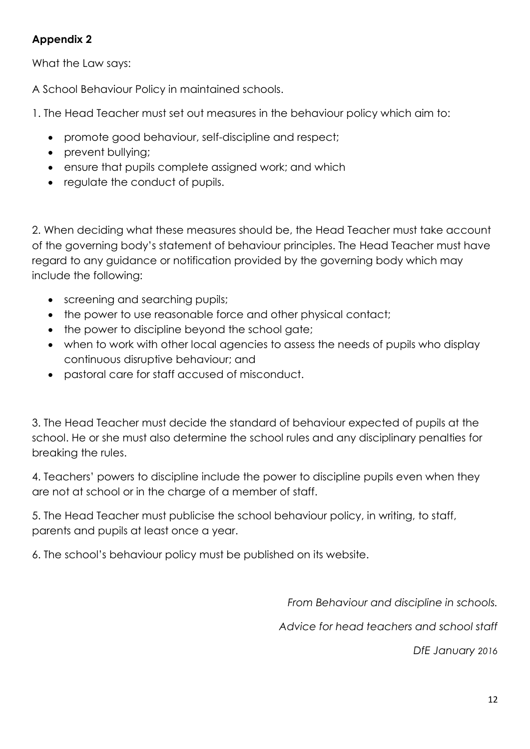## **Appendix 2**

What the Law says:

A School Behaviour Policy in maintained schools.

1. The Head Teacher must set out measures in the behaviour policy which aim to:

- promote good behaviour, self-discipline and respect;
- prevent bullying;
- ensure that pupils complete assigned work; and which
- regulate the conduct of pupils.

2. When deciding what these measures should be, the Head Teacher must take account of the governing body's statement of behaviour principles. The Head Teacher must have regard to any guidance or notification provided by the governing body which may include the following:

- screening and searching pupils;
- the power to use reasonable force and other physical contact;
- the power to discipline beyond the school gate;
- when to work with other local agencies to assess the needs of pupils who display continuous disruptive behaviour; and
- pastoral care for staff accused of misconduct.

3. The Head Teacher must decide the standard of behaviour expected of pupils at the school. He or she must also determine the school rules and any disciplinary penalties for breaking the rules.

4. Teachers' powers to discipline include the power to discipline pupils even when they are not at school or in the charge of a member of staff.

5. The Head Teacher must publicise the school behaviour policy, in writing, to staff, parents and pupils at least once a year.

6. The school's behaviour policy must be published on its website.

*From Behaviour and discipline in schools.* 

*Advice for head teachers and school staff* 

*DfE January 2016*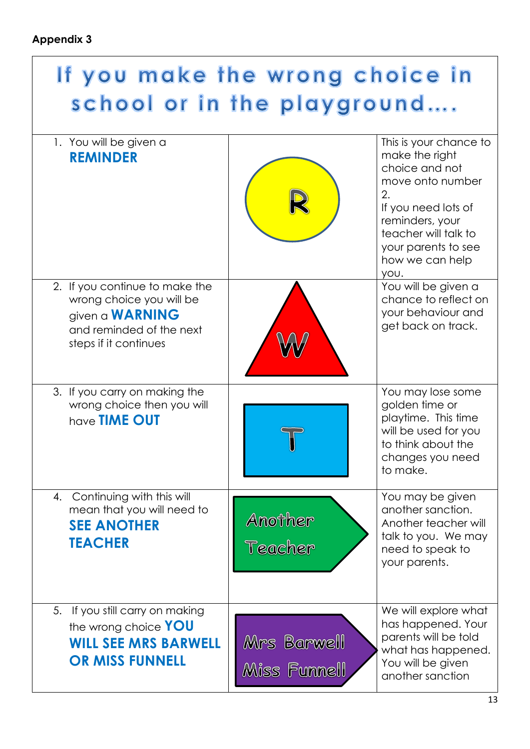| If you make the wrong choice in<br>school or in the playground                                                                            |                             |                                                                                                                                                                                                          |  |  |
|-------------------------------------------------------------------------------------------------------------------------------------------|-----------------------------|----------------------------------------------------------------------------------------------------------------------------------------------------------------------------------------------------------|--|--|
| 1. You will be given a<br><b>REMINDER</b>                                                                                                 |                             | This is your chance to<br>make the right<br>choice and not<br>move onto number<br>2.<br>If you need lots of<br>reminders, your<br>teacher will talk to<br>your parents to see<br>how we can help<br>you. |  |  |
| 2. If you continue to make the<br>wrong choice you will be<br>given a <b>WARNING</b><br>and reminded of the next<br>steps if it continues |                             | You will be given a<br>chance to reflect on<br>your behaviour and<br>get back on track.                                                                                                                  |  |  |
| 3. If you carry on making the<br>wrong choice then you will<br>have <b>TIME OUT</b>                                                       |                             | You may lose some<br>golden time or<br>playtime. This time<br>will be used for you<br>to think about the<br>changes you need<br>to make.                                                                 |  |  |
| Continuing with this will<br>4.<br>mean that you will need to<br><b>SEE ANOTHER</b><br><b>TEACHER</b>                                     | Another<br>Teacher          | You may be given<br>another sanction.<br>Another teacher will<br>talk to you. We may<br>need to speak to<br>your parents.                                                                                |  |  |
| 5.<br>If you still carry on making<br>the wrong choice YOU<br><b>WILL SEE MRS BARWELL</b><br><b>OR MISS FUNNELL</b>                       | Mrs Barwell<br>Miss Funnell | We will explore what<br>has happened. Your<br>parents will be told<br>what has happened.<br>You will be given<br>another sanction                                                                        |  |  |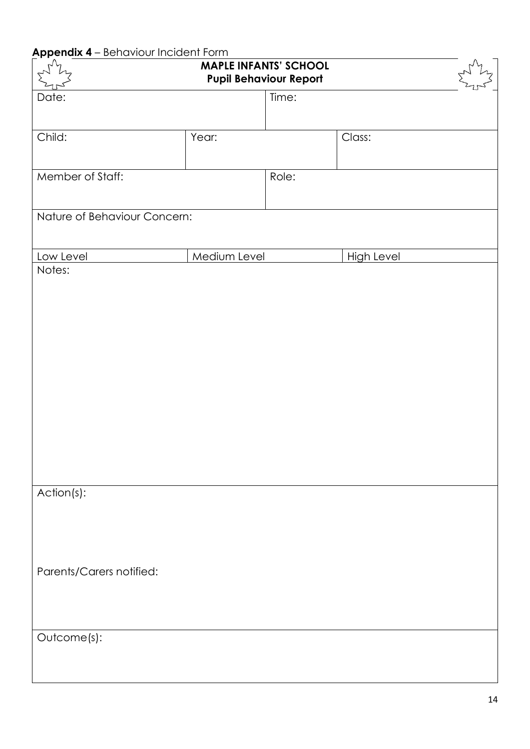| <b>Appendix 4</b> - Behaviour Incident Form |              | <b>MAPLE INFANTS' SCHOOL</b>  |                   |  |
|---------------------------------------------|--------------|-------------------------------|-------------------|--|
|                                             |              | <b>Pupil Behaviour Report</b> |                   |  |
| Date:                                       |              | Time:                         |                   |  |
| Child:                                      | Year:        |                               | Class:            |  |
| Member of Staff:                            |              | Role:                         |                   |  |
| Nature of Behaviour Concern:                |              |                               |                   |  |
| Low Level                                   | Medium Level |                               | <b>High Level</b> |  |
| Notes:                                      |              |                               |                   |  |
|                                             |              |                               |                   |  |
|                                             |              |                               |                   |  |
|                                             |              |                               |                   |  |
|                                             |              |                               |                   |  |
|                                             |              |                               |                   |  |
|                                             |              |                               |                   |  |
|                                             |              |                               |                   |  |
|                                             |              |                               |                   |  |
|                                             |              |                               |                   |  |
|                                             |              |                               |                   |  |
|                                             |              |                               |                   |  |
|                                             |              |                               |                   |  |
| Action(s):                                  |              |                               |                   |  |
|                                             |              |                               |                   |  |
|                                             |              |                               |                   |  |
|                                             |              |                               |                   |  |
|                                             |              |                               |                   |  |
| Parents/Carers notified:                    |              |                               |                   |  |
|                                             |              |                               |                   |  |
|                                             |              |                               |                   |  |
| Outcome(s):                                 |              |                               |                   |  |
|                                             |              |                               |                   |  |
|                                             |              |                               |                   |  |
|                                             |              |                               |                   |  |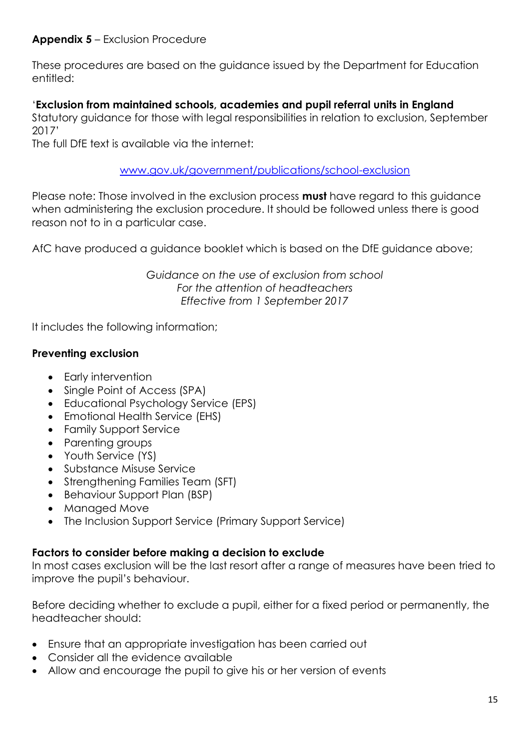These procedures are based on the guidance issued by the Department for Education entitled:

## '**Exclusion from maintained schools, academies and pupil referral units in England**

Statutory guidance for those with legal responsibilities in relation to exclusion, September 2017'

The full DfE text is available via the internet:

#### [www.gov.uk/government/publications/school-exclusion](http://www.gov.uk/government/publications/school-exclusion)

Please note: Those involved in the exclusion process **must** have regard to this guidance when administering the exclusion procedure. It should be followed unless there is good reason not to in a particular case.

AfC have produced a guidance booklet which is based on the DfE guidance above;

*Guidance on the use of exclusion from school For the attention of headteachers Effective from 1 September 2017*

It includes the following information;

## **Preventing exclusion**

- Early intervention
- Single Point of Access (SPA)
- Educational Psychology Service (EPS)
- Emotional Health Service (EHS)
- Family Support Service
- Parenting groups
- Youth Service (YS)
- Substance Misuse Service
- Strengthening Families Team (SFT)
- Behaviour Support Plan (BSP)
- Managed Move
- The Inclusion Support Service (Primary Support Service)

#### **Factors to consider before making a decision to exclude**

In most cases exclusion will be the last resort after a range of measures have been tried to improve the pupil's behaviour.

Before deciding whether to exclude a pupil, either for a fixed period or permanently, the headteacher should:

- Ensure that an appropriate investigation has been carried out
- Consider all the evidence available
- Allow and encourage the pupil to give his or her version of events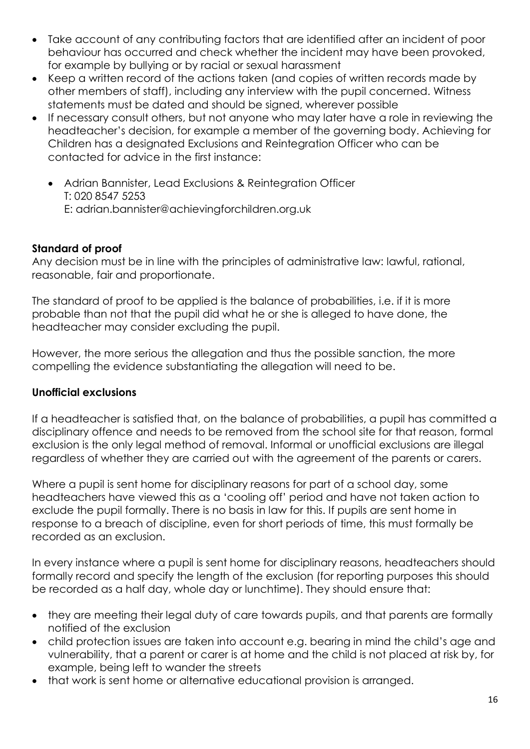- Take account of any contributing factors that are identified after an incident of poor behaviour has occurred and check whether the incident may have been provoked, for example by bullying or by racial or sexual harassment
- Keep a written record of the actions taken (and copies of written records made by other members of staff), including any interview with the pupil concerned. Witness statements must be dated and should be signed, wherever possible
- If necessary consult others, but not anyone who may later have a role in reviewing the headteacher's decision, for example a member of the governing body. Achieving for Children has a designated Exclusions and Reintegration Officer who can be contacted for advice in the first instance:
	- Adrian Bannister, Lead Exclusions & Reintegration Officer T: 020 8547 5253 E: adrian.bannister@achievingforchildren.org.uk

## **Standard of proof**

Any decision must be in line with the principles of administrative law: lawful, rational, reasonable, fair and proportionate.

The standard of proof to be applied is the balance of probabilities, i.e. if it is more probable than not that the pupil did what he or she is alleged to have done, the headteacher may consider excluding the pupil.

However, the more serious the allegation and thus the possible sanction, the more compelling the evidence substantiating the allegation will need to be.

## **Unofficial exclusions**

If a headteacher is satisfied that, on the balance of probabilities, a pupil has committed a disciplinary offence and needs to be removed from the school site for that reason, formal exclusion is the only legal method of removal. Informal or unofficial exclusions are illegal regardless of whether they are carried out with the agreement of the parents or carers.

Where a pupil is sent home for disciplinary reasons for part of a school day, some headteachers have viewed this as a 'cooling off' period and have not taken action to exclude the pupil formally. There is no basis in law for this. If pupils are sent home in response to a breach of discipline, even for short periods of time, this must formally be recorded as an exclusion.

In every instance where a pupil is sent home for disciplinary reasons, headteachers should formally record and specify the length of the exclusion (for reporting purposes this should be recorded as a half day, whole day or lunchtime). They should ensure that:

- they are meeting their legal duty of care towards pupils, and that parents are formally notified of the exclusion
- child protection issues are taken into account e.g. bearing in mind the child's age and vulnerability, that a parent or carer is at home and the child is not placed at risk by, for example, being left to wander the streets
- that work is sent home or alternative educational provision is arranged.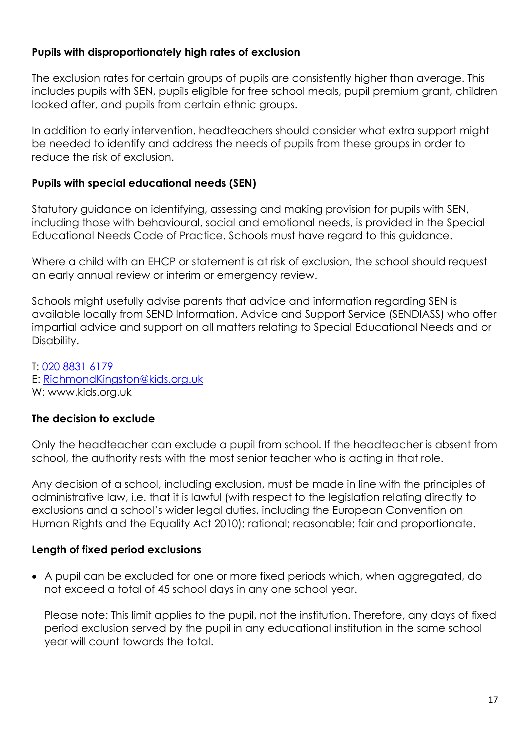## **Pupils with disproportionately high rates of exclusion**

The exclusion rates for certain groups of pupils are consistently higher than average. This includes pupils with SEN, pupils eligible for free school meals, pupil premium grant, children looked after, and pupils from certain ethnic groups.

In addition to early intervention, headteachers should consider what extra support might be needed to identify and address the needs of pupils from these groups in order to reduce the risk of exclusion.

#### **Pupils with special educational needs (SEN)**

Statutory guidance on identifying, assessing and making provision for pupils with SEN, including those with behavioural, social and emotional needs, is provided in the Special Educational Needs Code of Practice. Schools must have regard to this guidance.

Where a child with an EHCP or statement is at risk of exclusion, the school should request an early annual review or interim or emergency review.

Schools might usefully advise parents that advice and information regarding SEN is available locally from SEND Information, Advice and Support Service (SENDIASS) who offer impartial advice and support on all matters relating to Special Educational Needs and or Disability.

T: [020 8831 6179](tel:02088316179) E: [RichmondKingston@kids.org.uk](mailto:RichmondKingston@kids.org.uk) W: www.kids.org.uk

#### **The decision to exclude**

Only the headteacher can exclude a pupil from school. If the headteacher is absent from school, the authority rests with the most senior teacher who is acting in that role.

Any decision of a school, including exclusion, must be made in line with the principles of administrative law, i.e. that it is lawful (with respect to the legislation relating directly to exclusions and a school's wider legal duties, including the European Convention on Human Rights and the Equality Act 2010); rational; reasonable; fair and proportionate.

#### **Length of fixed period exclusions**

 A pupil can be excluded for one or more fixed periods which, when aggregated, do not exceed a total of 45 school days in any one school year.

Please note: This limit applies to the pupil, not the institution. Therefore, any days of fixed period exclusion served by the pupil in any educational institution in the same school year will count towards the total.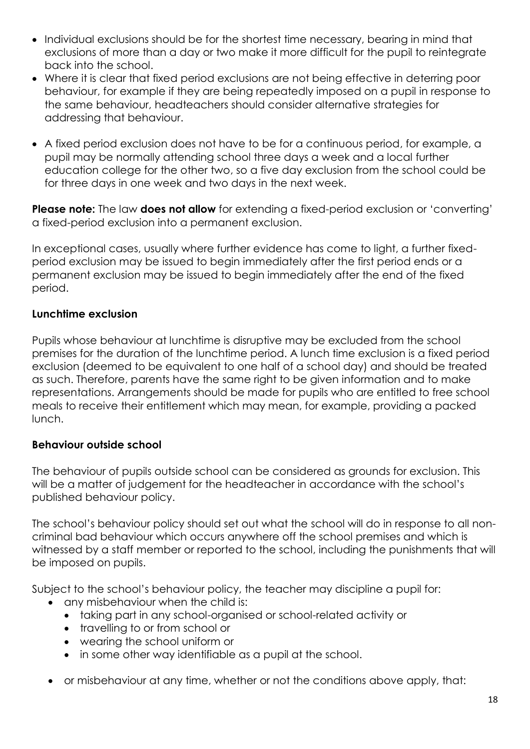- Individual exclusions should be for the shortest time necessary, bearing in mind that exclusions of more than a day or two make it more difficult for the pupil to reintegrate back into the school.
- Where it is clear that fixed period exclusions are not being effective in deterring poor behaviour, for example if they are being repeatedly imposed on a pupil in response to the same behaviour, headteachers should consider alternative strategies for addressing that behaviour.
- A fixed period exclusion does not have to be for a continuous period, for example, a pupil may be normally attending school three days a week and a local further education college for the other two, so a five day exclusion from the school could be for three days in one week and two days in the next week.

**Please note:** The law **does not allow** for extending a fixed-period exclusion or 'converting' a fixed-period exclusion into a permanent exclusion.

In exceptional cases, usually where further evidence has come to light, a further fixedperiod exclusion may be issued to begin immediately after the first period ends or a permanent exclusion may be issued to begin immediately after the end of the fixed period.

## **Lunchtime exclusion**

Pupils whose behaviour at lunchtime is disruptive may be excluded from the school premises for the duration of the lunchtime period. A lunch time exclusion is a fixed period exclusion (deemed to be equivalent to one half of a school day) and should be treated as such. Therefore, parents have the same right to be given information and to make representations. Arrangements should be made for pupils who are entitled to free school meals to receive their entitlement which may mean, for example, providing a packed lunch.

## **Behaviour outside school**

The behaviour of pupils outside school can be considered as grounds for exclusion. This will be a matter of judgement for the headteacher in accordance with the school's published behaviour policy.

The school's behaviour policy should set out what the school will do in response to all noncriminal bad behaviour which occurs anywhere off the school premises and which is witnessed by a staff member or reported to the school, including the punishments that will be imposed on pupils.

Subject to the school's behaviour policy, the teacher may discipline a pupil for:

- any misbehaviour when the child is:
	- taking part in any school-organised or school-related activity or
	- travelling to or from school or
	- wearing the school uniform or
	- in some other way identifiable as a pupil at the school.
- or misbehaviour at any time, whether or not the conditions above apply, that: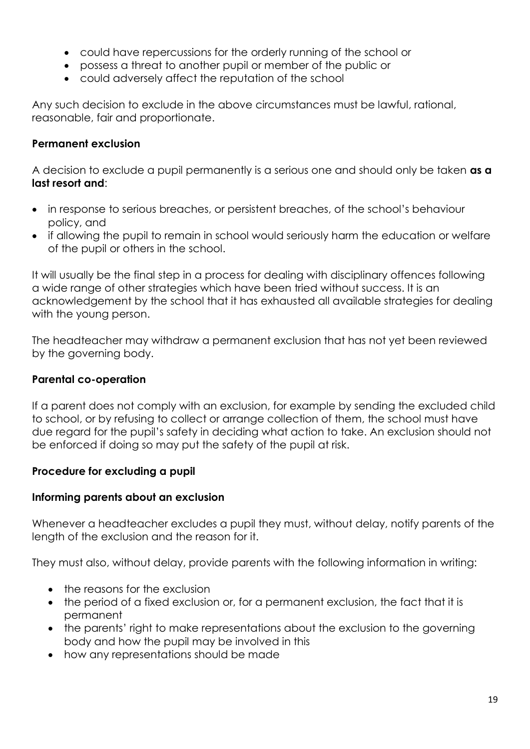- could have repercussions for the orderly running of the school or
- possess a threat to another pupil or member of the public or
- could adversely affect the reputation of the school

Any such decision to exclude in the above circumstances must be lawful, rational, reasonable, fair and proportionate.

#### **Permanent exclusion**

A decision to exclude a pupil permanently is a serious one and should only be taken **as a last resort and**:

- in response to serious breaches, or persistent breaches, of the school's behaviour policy, and
- if allowing the pupil to remain in school would seriously harm the education or welfare of the pupil or others in the school.

It will usually be the final step in a process for dealing with disciplinary offences following a wide range of other strategies which have been tried without success. It is an acknowledgement by the school that it has exhausted all available strategies for dealing with the young person.

The headteacher may withdraw a permanent exclusion that has not yet been reviewed by the governing body.

#### **Parental co-operation**

If a parent does not comply with an exclusion, for example by sending the excluded child to school, or by refusing to collect or arrange collection of them, the school must have due regard for the pupil's safety in deciding what action to take. An exclusion should not be enforced if doing so may put the safety of the pupil at risk.

## **Procedure for excluding a pupil**

#### **Informing parents about an exclusion**

Whenever a headteacher excludes a pupil they must, without delay, notify parents of the length of the exclusion and the reason for it.

They must also, without delay, provide parents with the following information in writing:

- the reasons for the exclusion
- the period of a fixed exclusion or, for a permanent exclusion, the fact that it is permanent
- the parents' right to make representations about the exclusion to the governing body and how the pupil may be involved in this
- how any representations should be made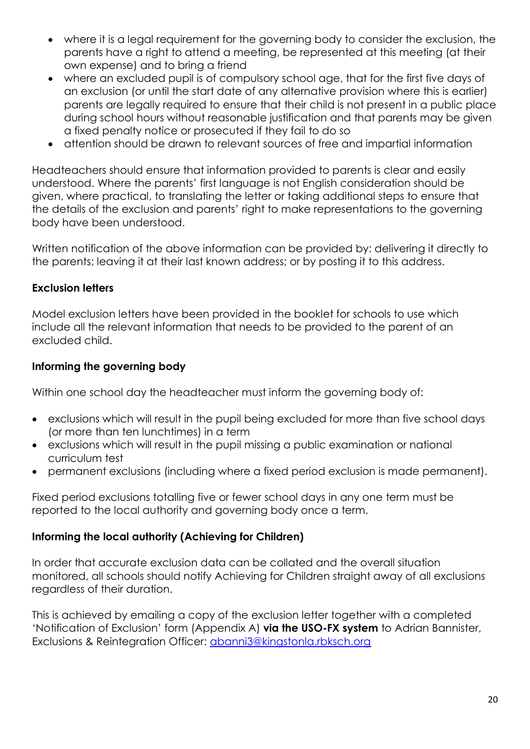- where it is a legal requirement for the governing body to consider the exclusion, the parents have a right to attend a meeting, be represented at this meeting (at their own expense) and to bring a friend
- where an excluded pupil is of compulsory school age, that for the first five days of an exclusion (or until the start date of any alternative provision where this is earlier) parents are legally required to ensure that their child is not present in a public place during school hours without reasonable justification and that parents may be given a fixed penalty notice or prosecuted if they fail to do so
- attention should be drawn to relevant sources of free and impartial information

Headteachers should ensure that information provided to parents is clear and easily understood. Where the parents' first language is not English consideration should be given, where practical, to translating the letter or taking additional steps to ensure that the details of the exclusion and parents' right to make representations to the governing body have been understood.

Written notification of the above information can be provided by: delivering it directly to the parents; leaving it at their last known address; or by posting it to this address.

## **Exclusion letters**

Model exclusion letters have been provided in the booklet for schools to use which include all the relevant information that needs to be provided to the parent of an excluded child.

#### **Informing the governing body**

Within one school day the headteacher must inform the governing body of:

- exclusions which will result in the pupil being excluded for more than five school days (or more than ten lunchtimes) in a term
- exclusions which will result in the pupil missing a public examination or national curriculum test
- permanent exclusions (including where a fixed period exclusion is made permanent).

Fixed period exclusions totalling five or fewer school days in any one term must be reported to the local authority and governing body once a term.

#### **Informing the local authority (Achieving for Children)**

In order that accurate exclusion data can be collated and the overall situation monitored, all schools should notify Achieving for Children straight away of all exclusions regardless of their duration.

This is achieved by emailing a copy of the exclusion letter together with a completed 'Notification of Exclusion' form (Appendix A) **via the USO-FX system** to Adrian Bannister, Exclusions & Reintegration Officer: [abanni3@kingstonla.rbksch.org](mailto:abanni3@kingstonla.rbksch.org)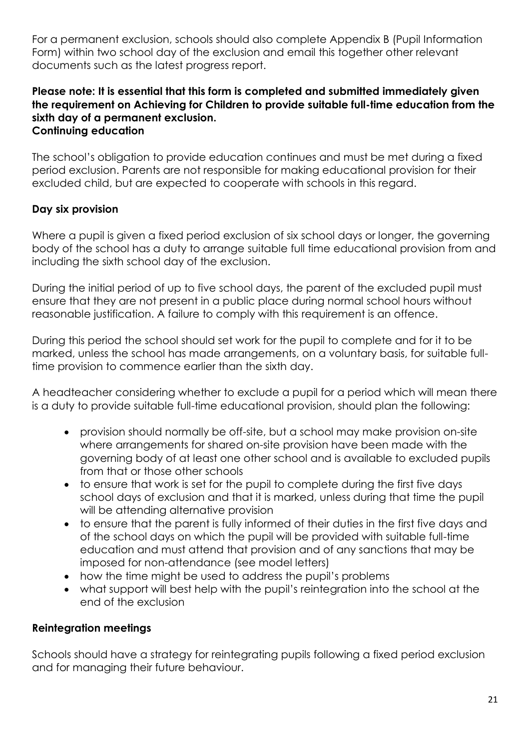For a permanent exclusion, schools should also complete Appendix B (Pupil Information Form) within two school day of the exclusion and email this together other relevant documents such as the latest progress report.

## **Please note: It is essential that this form is completed and submitted immediately given the requirement on Achieving for Children to provide suitable full-time education from the sixth day of a permanent exclusion.**

# **Continuing education**

The school's obligation to provide education continues and must be met during a fixed period exclusion. Parents are not responsible for making educational provision for their excluded child, but are expected to cooperate with schools in this regard.

## **Day six provision**

Where a pupil is given a fixed period exclusion of six school days or longer, the governing body of the school has a duty to arrange suitable full time educational provision from and including the sixth school day of the exclusion.

During the initial period of up to five school days, the parent of the excluded pupil must ensure that they are not present in a public place during normal school hours without reasonable justification. A failure to comply with this requirement is an offence.

During this period the school should set work for the pupil to complete and for it to be marked, unless the school has made arrangements, on a voluntary basis, for suitable fulltime provision to commence earlier than the sixth day.

A headteacher considering whether to exclude a pupil for a period which will mean there is a duty to provide suitable full-time educational provision, should plan the following:

- provision should normally be off-site, but a school may make provision on-site where arrangements for shared on-site provision have been made with the governing body of at least one other school and is available to excluded pupils from that or those other schools
- to ensure that work is set for the pupil to complete during the first five days school days of exclusion and that it is marked, unless during that time the pupil will be attending alternative provision
- to ensure that the parent is fully informed of their duties in the first five days and of the school days on which the pupil will be provided with suitable full-time education and must attend that provision and of any sanctions that may be imposed for non-attendance (see model letters)
- how the time might be used to address the pupil's problems
- what support will best help with the pupil's reintegration into the school at the end of the exclusion

#### **Reintegration meetings**

Schools should have a strategy for reintegrating pupils following a fixed period exclusion and for managing their future behaviour.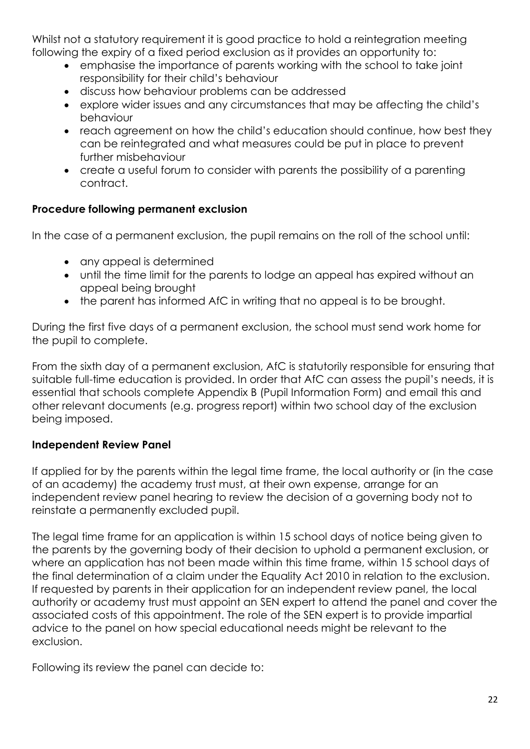Whilst not a statutory requirement it is good practice to hold a reintegration meeting following the expiry of a fixed period exclusion as it provides an opportunity to:

- emphasise the importance of parents working with the school to take joint responsibility for their child's behaviour
- discuss how behaviour problems can be addressed
- explore wider issues and any circumstances that may be affecting the child's behaviour
- reach agreement on how the child's education should continue, how best they can be reintegrated and what measures could be put in place to prevent further misbehaviour
- create a useful forum to consider with parents the possibility of a parenting contract.

## **Procedure following permanent exclusion**

In the case of a permanent exclusion, the pupil remains on the roll of the school until:

- any appeal is determined
- until the time limit for the parents to lodge an appeal has expired without an appeal being brought
- the parent has informed AfC in writing that no appeal is to be brought.

During the first five days of a permanent exclusion, the school must send work home for the pupil to complete.

From the sixth day of a permanent exclusion, AfC is statutorily responsible for ensuring that suitable full-time education is provided. In order that AfC can assess the pupil's needs, it is essential that schools complete Appendix B (Pupil Information Form) and email this and other relevant documents (e.g. progress report) within two school day of the exclusion being imposed.

## **Independent Review Panel**

If applied for by the parents within the legal time frame, the local authority or (in the case of an academy) the academy trust must, at their own expense, arrange for an independent review panel hearing to review the decision of a governing body not to reinstate a permanently excluded pupil.

The legal time frame for an application is within 15 school days of notice being given to the parents by the governing body of their decision to uphold a permanent exclusion, or where an application has not been made within this time frame, within 15 school days of the final determination of a claim under the Equality Act 2010 in relation to the exclusion. If requested by parents in their application for an independent review panel, the local authority or academy trust must appoint an SEN expert to attend the panel and cover the associated costs of this appointment. The role of the SEN expert is to provide impartial advice to the panel on how special educational needs might be relevant to the exclusion.

Following its review the panel can decide to: